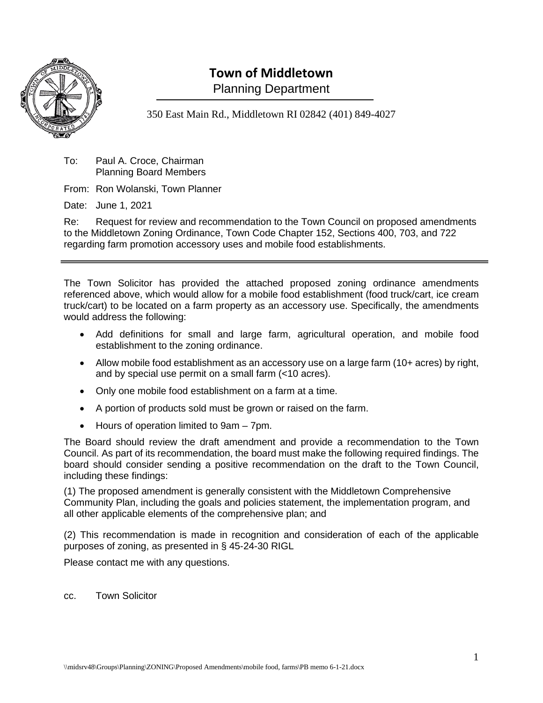

# **Town of Middletown**

Planning Department

350 East Main Rd., Middletown RI 02842 (401) 849-4027

To: Paul A. Croce, Chairman Planning Board Members

From: Ron Wolanski, Town Planner

Date: June 1, 2021

Re: Request for review and recommendation to the Town Council on proposed amendments to the Middletown Zoning Ordinance, Town Code Chapter 152, Sections 400, 703, and 722 regarding farm promotion accessory uses and mobile food establishments.

The Town Solicitor has provided the attached proposed zoning ordinance amendments referenced above, which would allow for a mobile food establishment (food truck/cart, ice cream truck/cart) to be located on a farm property as an accessory use. Specifically, the amendments would address the following:

- Add definitions for small and large farm, agricultural operation, and mobile food establishment to the zoning ordinance.
- Allow mobile food establishment as an accessory use on a large farm (10+ acres) by right, and by special use permit on a small farm (<10 acres).
- Only one mobile food establishment on a farm at a time.
- A portion of products sold must be grown or raised on the farm.
- Hours of operation limited to 9am 7pm.

The Board should review the draft amendment and provide a recommendation to the Town Council. As part of its recommendation, the board must make the following required findings. The board should consider sending a positive recommendation on the draft to the Town Council, including these findings:

(1) The proposed amendment is generally consistent with the Middletown Comprehensive Community Plan, including the goals and policies statement, the implementation program, and all other applicable elements of the comprehensive plan; and

(2) This recommendation is made in recognition and consideration of each of the applicable purposes of zoning, as presented in § 45-24-30 RIGL

Please contact me with any questions.

cc. Town Solicitor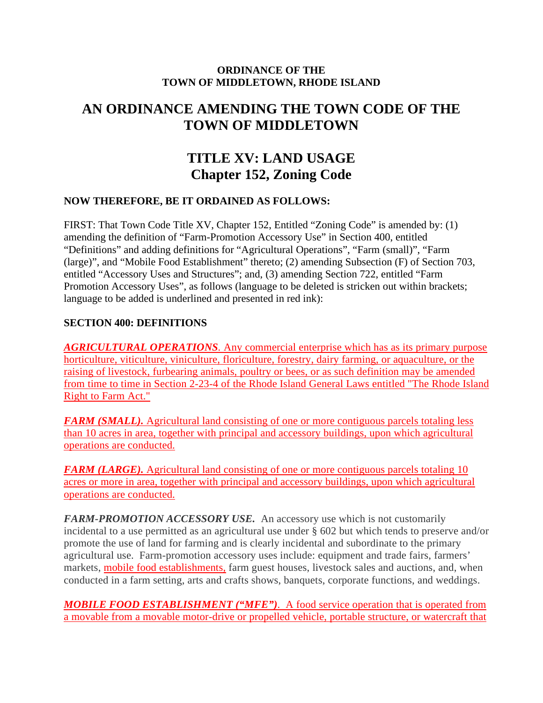#### **ORDINANCE OF THE TOWN OF MIDDLETOWN, RHODE ISLAND**

## **AN ORDINANCE AMENDING THE TOWN CODE OF THE TOWN OF MIDDLETOWN**

# **TITLE XV: LAND USAGE Chapter 152, Zoning Code**

#### **NOW THEREFORE, BE IT ORDAINED AS FOLLOWS:**

FIRST: That Town Code Title XV, Chapter 152, Entitled "Zoning Code" is amended by: (1) amending the definition of "Farm-Promotion Accessory Use" in Section 400, entitled "Definitions" and adding definitions for "Agricultural Operations", "Farm (small)", "Farm (large)", and "Mobile Food Establishment" thereto; (2) amending Subsection (F) of Section 703, entitled "Accessory Uses and Structures"; and, (3) amending Section 722, entitled "Farm Promotion Accessory Uses", as follows (language to be deleted is stricken out within brackets; language to be added is underlined and presented in red ink):

#### **SECTION 400: DEFINITIONS**

*AGRICULTURAL OPERATIONS.* Any commercial enterprise which has as its primary purpose horticulture, viticulture, viniculture, floriculture, forestry, dairy farming, or aquaculture, or the raising of livestock, furbearing animals, poultry or bees, or as such definition may be amended from time to time in Section 2-23-4 of the Rhode Island General Laws entitled "The Rhode Island Right to Farm Act."

*FARM (SMALL).* Agricultural land consisting of one or more contiguous parcels totaling less than 10 acres in area, together with principal and accessory buildings, upon which agricultural operations are conducted.

*FARM (LARGE).* Agricultural land consisting of one or more contiguous parcels totaling 10 acres or more in area, together with principal and accessory buildings, upon which agricultural operations are conducted.

*FARM-PROMOTION ACCESSORY USE.* An accessory use which is not customarily incidental to a use permitted as an agricultural use under § 602 but which tends to preserve and/or promote the use of land for farming and is clearly incidental and subordinate to the primary agricultural use. Farm-promotion accessory uses include: equipment and trade fairs, farmers' markets, mobile food establishments, farm guest houses, livestock sales and auctions, and, when conducted in a farm setting, arts and crafts shows, banquets, corporate functions, and weddings.

*MOBILE FOOD ESTABLISHMENT ("MFE")*.A food service operation that is operated from a movable from a movable motor-drive or propelled vehicle, portable structure, or watercraft that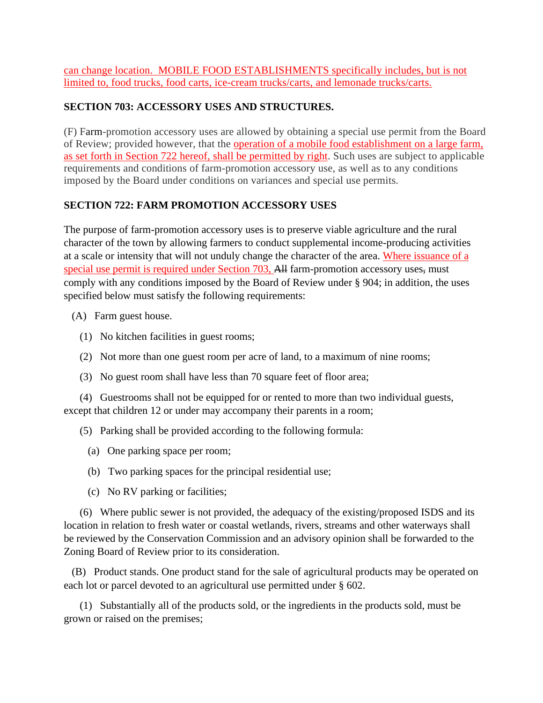can change location. MOBILE FOOD ESTABLISHMENTS specifically includes, but is not limited to, food trucks, food carts, ice-cream trucks/carts, and lemonade trucks/carts.

### **SECTION 703: ACCESSORY USES AND STRUCTURES.**

(F) Farm-promotion accessory uses are allowed by obtaining a special use permit from the Board of Review; provided however, that the operation of a mobile food establishment on a large farm, as set forth in Section 722 hereof, shall be permitted by right. Such uses are subject to applicable requirements and conditions of farm-promotion accessory use, as well as to any conditions imposed by the Board under conditions on variances and special use permits.

### **SECTION 722: FARM PROMOTION ACCESSORY USES**

The purpose of farm-promotion accessory uses is to preserve viable agriculture and the rural character of the town by allowing farmers to conduct supplemental income-producing activities at a scale or intensity that will not unduly change the character of the area. Where issuance of a special use permit is required under Section 703, All farm-promotion accessory uses, must comply with any conditions imposed by the Board of Review under § 904; in addition, the uses specified below must satisfy the following requirements:

- (A) Farm guest house.
	- (1) No kitchen facilities in guest rooms;
	- (2) Not more than one guest room per acre of land, to a maximum of nine rooms;
	- (3) No guest room shall have less than 70 square feet of floor area;

 (4) Guestrooms shall not be equipped for or rented to more than two individual guests, except that children 12 or under may accompany their parents in a room;

- (5) Parking shall be provided according to the following formula:
	- (a) One parking space per room;
	- (b) Two parking spaces for the principal residential use;
	- (c) No RV parking or facilities;

 (6) Where public sewer is not provided, the adequacy of the existing/proposed ISDS and its location in relation to fresh water or coastal wetlands, rivers, streams and other waterways shall be reviewed by the Conservation Commission and an advisory opinion shall be forwarded to the Zoning Board of Review prior to its consideration.

 (B) Product stands. One product stand for the sale of agricultural products may be operated on each lot or parcel devoted to an agricultural use permitted under § 602.

 (1) Substantially all of the products sold, or the ingredients in the products sold, must be grown or raised on the premises;